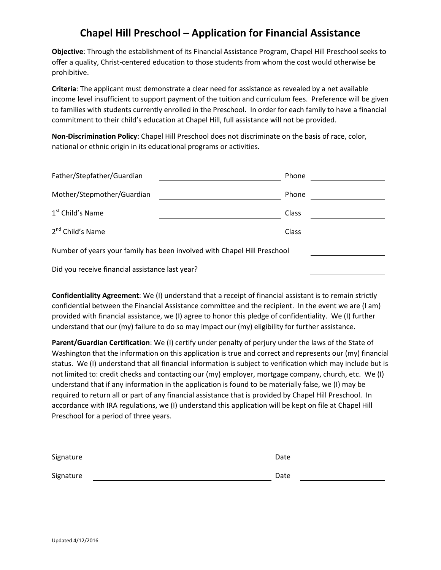## **Chapel Hill Preschool – Application for Financial Assistance**

**Objective**: Through the establishment of its Financial Assistance Program, Chapel Hill Preschool seeks to offer a quality, Christ-centered education to those students from whom the cost would otherwise be prohibitive.

**Criteria**: The applicant must demonstrate a clear need for assistance as revealed by a net available income level insufficient to support payment of the tuition and curriculum fees. Preference will be given to families with students currently enrolled in the Preschool. In order for each family to have a financial commitment to their child's education at Chapel Hill, full assistance will not be provided.

**Non-Discrimination Policy**: Chapel Hill Preschool does not discriminate on the basis of race, color, national or ethnic origin in its educational programs or activities.

| Father/Stepfather/Guardian                                               | Phone |  |  |  |
|--------------------------------------------------------------------------|-------|--|--|--|
| Mother/Stepmother/Guardian                                               | Phone |  |  |  |
| 1 <sup>st</sup> Child's Name                                             | Class |  |  |  |
| 2 <sup>nd</sup> Child's Name                                             | Class |  |  |  |
| Number of years your family has been involved with Chapel Hill Preschool |       |  |  |  |
| Did you receive financial assistance last year?                          |       |  |  |  |

**Confidentiality Agreement**: We (I) understand that a receipt of financial assistant is to remain strictly confidential between the Financial Assistance committee and the recipient. In the event we are (I am) provided with financial assistance, we (I) agree to honor this pledge of confidentiality. We (I) further understand that our (my) failure to do so may impact our (my) eligibility for further assistance.

**Parent/Guardian Certification**: We (I) certify under penalty of perjury under the laws of the State of Washington that the information on this application is true and correct and represents our (my) financial status. We (I) understand that all financial information is subject to verification which may include but is not limited to: credit checks and contacting our (my) employer, mortgage company, church, etc. We (I) understand that if any information in the application is found to be materially false, we (I) may be required to return all or part of any financial assistance that is provided by Chapel Hill Preschool. In accordance with IRA regulations, we (I) understand this application will be kept on file at Chapel Hill Preschool for a period of three years.

| Signature | Date |  |
|-----------|------|--|
| Signature | Date |  |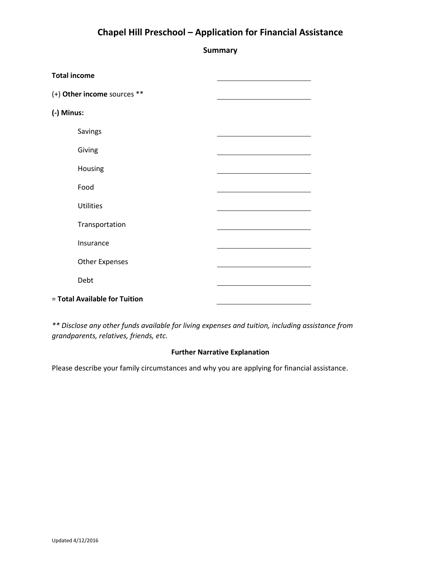## **Chapel Hill Preschool – Application for Financial Assistance**

**Summary**

| <b>Total income</b>           |  |
|-------------------------------|--|
| (+) Other income sources **   |  |
| (-) Minus:                    |  |
| Savings                       |  |
| Giving                        |  |
| Housing                       |  |
| Food                          |  |
| <b>Utilities</b>              |  |
| Transportation                |  |
| Insurance                     |  |
| <b>Other Expenses</b>         |  |
| Debt                          |  |
| = Total Available for Tuition |  |

*\*\* Disclose any other funds available for living expenses and tuition, including assistance from grandparents, relatives, friends, etc.*

## **Further Narrative Explanation**

Please describe your family circumstances and why you are applying for financial assistance.